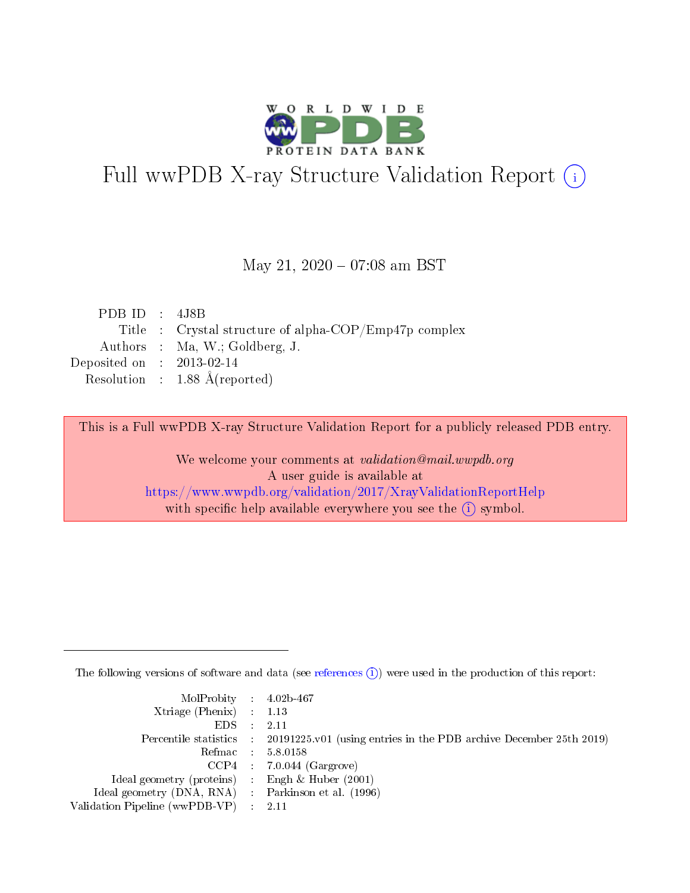

# Full wwPDB X-ray Structure Validation Report (i)

#### May 21,  $2020 - 07:08$  am BST

| PDB ID : $4J8B$             |                                                       |
|-----------------------------|-------------------------------------------------------|
|                             | Title : Crystal structure of alpha-COP/Emp47p complex |
|                             | Authors : Ma, W.; Goldberg, J.                        |
| Deposited on : $2013-02-14$ |                                                       |
|                             | Resolution : $1.88 \text{ Å}$ (reported)              |
|                             |                                                       |

This is a Full wwPDB X-ray Structure Validation Report for a publicly released PDB entry.

We welcome your comments at validation@mail.wwpdb.org A user guide is available at <https://www.wwpdb.org/validation/2017/XrayValidationReportHelp> with specific help available everywhere you see the  $(i)$  symbol.

The following versions of software and data (see [references](https://www.wwpdb.org/validation/2017/XrayValidationReportHelp#references)  $(i)$ ) were used in the production of this report:

| MolProbity : $4.02b-467$                            |                                                                                            |
|-----------------------------------------------------|--------------------------------------------------------------------------------------------|
| Xtriage (Phenix) $: 1.13$                           |                                                                                            |
| EDS -                                               | 2.11                                                                                       |
|                                                     | Percentile statistics : 20191225.v01 (using entries in the PDB archive December 25th 2019) |
|                                                     | Refmac 58.0158                                                                             |
|                                                     | $CCP4$ 7.0.044 (Gargrove)                                                                  |
| Ideal geometry (proteins) : Engh $\&$ Huber (2001)  |                                                                                            |
| Ideal geometry (DNA, RNA) : Parkinson et al. (1996) |                                                                                            |
| Validation Pipeline (wwPDB-VP)                      | -2.11                                                                                      |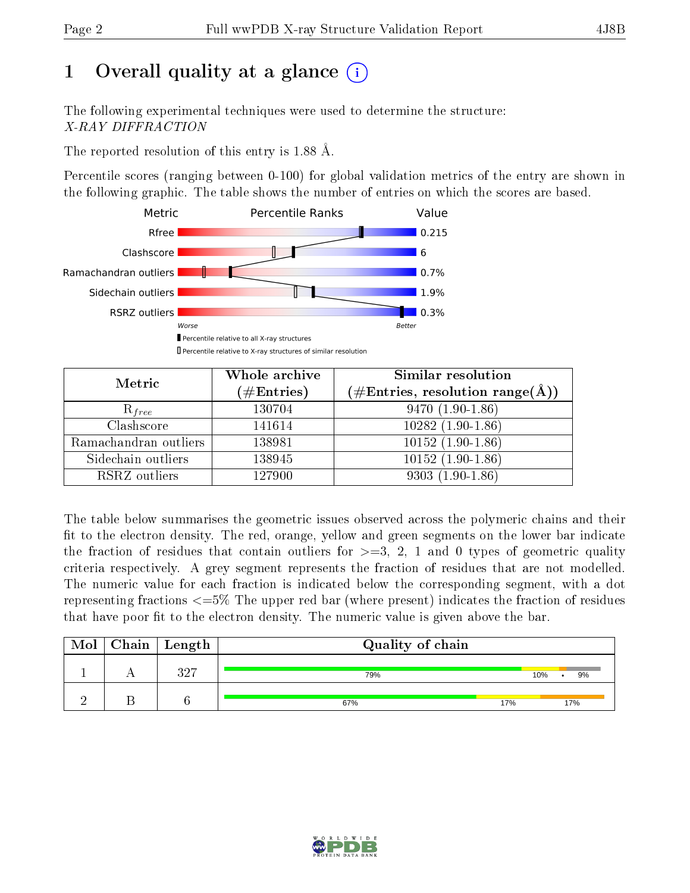# 1 [O](https://www.wwpdb.org/validation/2017/XrayValidationReportHelp#overall_quality)verall quality at a glance  $(i)$

The following experimental techniques were used to determine the structure: X-RAY DIFFRACTION

The reported resolution of this entry is 1.88 Å.

Percentile scores (ranging between 0-100) for global validation metrics of the entry are shown in the following graphic. The table shows the number of entries on which the scores are based.



| Metric                | Whole archive<br>$(\#\mathrm{Entries})$ | Similar resolution<br>$(\#\text{Entries},\, \text{resolution}\; \text{range}(\textup{\AA}))$ |
|-----------------------|-----------------------------------------|----------------------------------------------------------------------------------------------|
| $R_{free}$            | 130704                                  | $9470(1.90-1.86)$                                                                            |
| Clashscore            | 141614                                  | $10282(1.90-1.86)$                                                                           |
| Ramachandran outliers | 138981                                  | $10152(1.90-1.86)$                                                                           |
| Sidechain outliers    | 138945                                  | $10152(1.90-1.86)$                                                                           |
| RSRZ outliers         | 127900                                  | $9303(1.90-1.86)$                                                                            |

The table below summarises the geometric issues observed across the polymeric chains and their fit to the electron density. The red, orange, yellow and green segments on the lower bar indicate the fraction of residues that contain outliers for  $>=3, 2, 1$  and 0 types of geometric quality criteria respectively. A grey segment represents the fraction of residues that are not modelled. The numeric value for each fraction is indicated below the corresponding segment, with a dot representing fractions  $\epsilon=5\%$  The upper red bar (where present) indicates the fraction of residues that have poor fit to the electron density. The numeric value is given above the bar.

| Mol | $Chain$ $Length$ | Quality of chain |     |     |     |  |  |  |  |
|-----|------------------|------------------|-----|-----|-----|--|--|--|--|
|     | 397              | 79%              |     | 10% | 9%  |  |  |  |  |
|     |                  | 67%              | 17% |     | 17% |  |  |  |  |

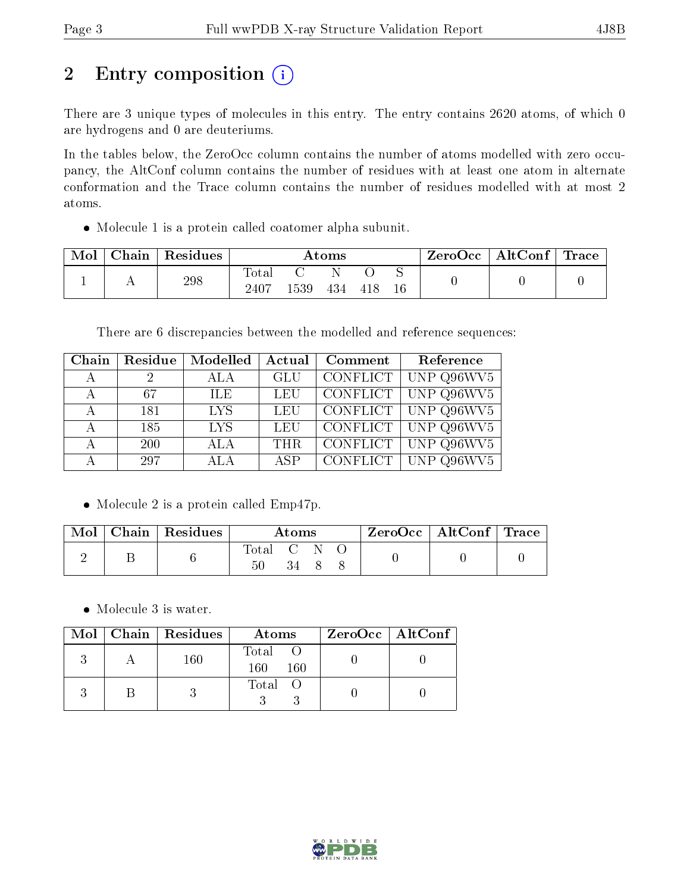# 2 Entry composition (i)

There are 3 unique types of molecules in this entry. The entry contains 2620 atoms, of which 0 are hydrogens and 0 are deuteriums.

In the tables below, the ZeroOcc column contains the number of atoms modelled with zero occupancy, the AltConf column contains the number of residues with at least one atom in alternate conformation and the Trace column contains the number of residues modelled with at most 2 atoms.

Molecule 1 is a protein called coatomer alpha subunit.

| Mol | $\perp$ Chain $\perp$ | Residues | $\rm{Atoms}$            |     |     |     |        | $\text{ZeroOcc} \mid \text{AltConf} \mid$ | $\mid$ Trace $\mid$ |
|-----|-----------------------|----------|-------------------------|-----|-----|-----|--------|-------------------------------------------|---------------------|
|     |                       | 298      | $\rm Total$<br>$2407\,$ | 539 | 434 | 418 | $16\,$ |                                           |                     |

There are 6 discrepancies between the modelled and reference sequences:

| Chain | Residue    | <b>Modelled</b> | Actual     | Comment         | Reference                             |
|-------|------------|-----------------|------------|-----------------|---------------------------------------|
| А     | 2          | ALA             | <b>GLU</b> | CONFLICT        | UNP Q96WV5                            |
| А     | 67         | ILE.            | <b>LEU</b> | CONFLICT        | UNP Q96WV5                            |
| А     | 181        | <b>LYS</b>      | LEU        | <b>CONFLICT</b> | $\overline{UNP Q}96WV5$               |
| А     | 185        | <b>LYS</b>      | LEU        | CONFLICT        | UNP Q96WV5                            |
| А     | <b>200</b> | <b>ALA</b>      | <b>THR</b> | <b>CONFLICT</b> | $\overline{\text{UNP Q}}96\text{WV}5$ |
| А     | 297        | <b>ALA</b>      | <b>ASP</b> | CONFLICT        | UNP Q96WV5                            |

• Molecule 2 is a protein called Emp47p.

| Mol | $Chain   Residues$ | Atoms           |  |  |  | ZeroOcc   AltConf   Trace |  |
|-----|--------------------|-----------------|--|--|--|---------------------------|--|
|     |                    | Total<br>$50\,$ |  |  |  |                           |  |

• Molecule 3 is water.

|  | Mol   Chain   Residues | Atoms                  | $ZeroOcc \mid AltConf \mid$ |
|--|------------------------|------------------------|-----------------------------|
|  | 160                    | Total O<br>160.<br>160 |                             |
|  |                        | Total O                |                             |

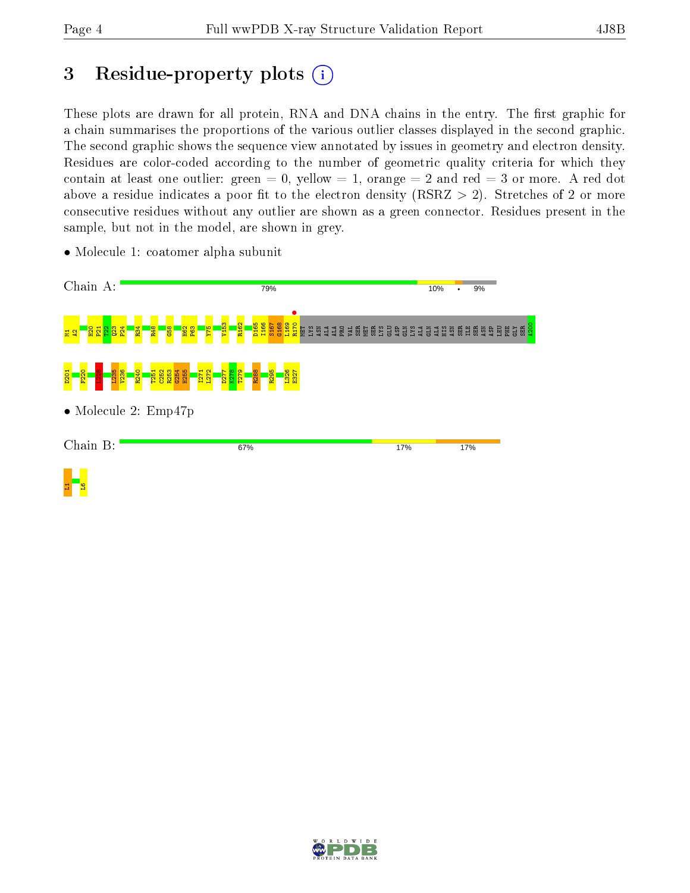# 3 Residue-property plots  $(i)$

These plots are drawn for all protein, RNA and DNA chains in the entry. The first graphic for a chain summarises the proportions of the various outlier classes displayed in the second graphic. The second graphic shows the sequence view annotated by issues in geometry and electron density. Residues are color-coded according to the number of geometric quality criteria for which they contain at least one outlier: green  $= 0$ , yellow  $= 1$ , orange  $= 2$  and red  $= 3$  or more. A red dot above a residue indicates a poor fit to the electron density (RSRZ  $> 2$ ). Stretches of 2 or more consecutive residues without any outlier are shown as a green connector. Residues present in the sample, but not in the model, are shown in grey.



• Molecule 1: coatomer alpha subunit

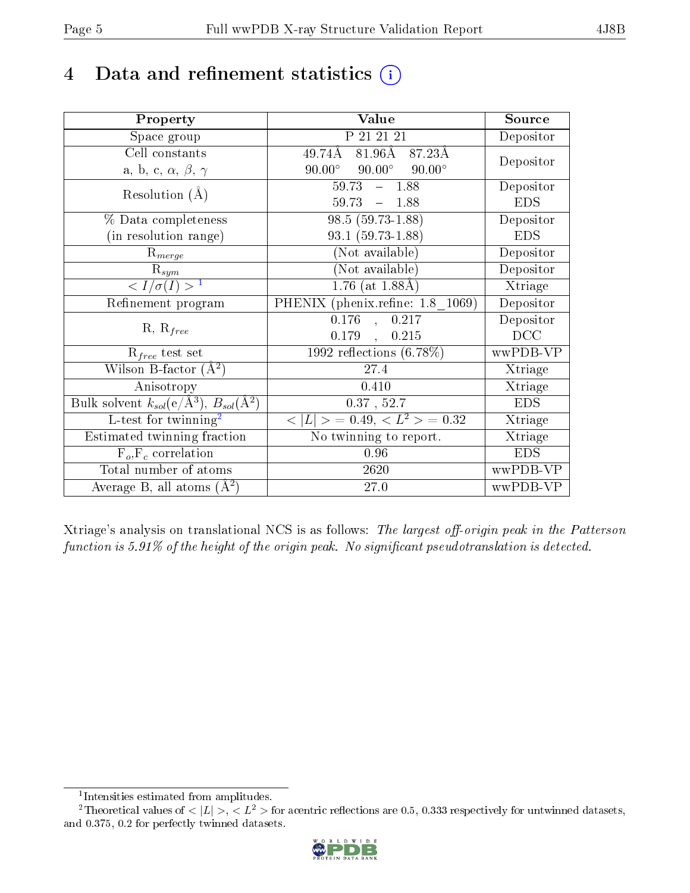# 4 Data and refinement statistics  $(i)$

| Property                                                             | Value                                           | Source     |
|----------------------------------------------------------------------|-------------------------------------------------|------------|
| Space group                                                          | P 21 21 21                                      | Depositor  |
| Cell constants                                                       | 81.96 $\AA$ 87.23 $\AA$<br>49.74Å               |            |
| a, b, c, $\alpha$ , $\beta$ , $\gamma$                               | $90.00^{\circ}$ $90.00^{\circ}$ $90.00^{\circ}$ | Depositor  |
| Resolution $(A)$                                                     | $59.73 - 1.88$                                  | Depositor  |
|                                                                      | $59.73 - 1.88$                                  | <b>EDS</b> |
| % Data completeness                                                  | $98.5(59.73-1.88)$                              | Depositor  |
| (in resolution range)                                                | $93.1(59.73-1.88)$                              | <b>EDS</b> |
| $R_{merge}$                                                          | (Not available)                                 | Depositor  |
| $\mathrm{R}_{sym}$                                                   | (Not available)                                 | Depositor  |
| $\langle I/\sigma(I) \rangle^{-1}$                                   | $1.76$ (at $1.88\text{\AA})$                    | Xtriage    |
| Refinement program                                                   | PHENIX (phenix.refine: 1.8 1069)                | Depositor  |
|                                                                      | 0.176<br>0.217<br>$\mathbb{R}^2$                | Depositor  |
| $R, R_{free}$                                                        | 0.179,<br>0.215                                 | DCC        |
| $R_{free}$ test set                                                  | 1992 reflections $(6.78\%)$                     | wwPDB-VP   |
| Wilson B-factor $(A^2)$                                              | 27.4                                            | Xtriage    |
| Anisotropy                                                           | 0.410                                           | Xtriage    |
| Bulk solvent $k_{sol}(e/\mathring{A}^3)$ , $B_{sol}(\mathring{A}^2)$ | $0.37$ , $52.7$                                 | <b>EDS</b> |
| $L$ -test for twinning <sup>2</sup>                                  | $< L >$ = 0.49, $< L^2 >$ = 0.32                | Xtriage    |
| Estimated twinning fraction                                          | No twinning to report.                          | Xtriage    |
| $F_o, F_c$ correlation                                               | 0.96                                            | <b>EDS</b> |
| Total number of atoms                                                | 2620                                            | wwPDB-VP   |
| Average B, all atoms $(A^2)$                                         | 27.0                                            | wwPDB-VP   |

Xtriage's analysis on translational NCS is as follows: The largest off-origin peak in the Patterson function is  $5.91\%$  of the height of the origin peak. No significant pseudotranslation is detected.

<sup>&</sup>lt;sup>2</sup>Theoretical values of  $\langle |L| \rangle$ ,  $\langle L^2 \rangle$  for acentric reflections are 0.5, 0.333 respectively for untwinned datasets, and 0.375, 0.2 for perfectly twinned datasets.



<span id="page-4-1"></span><span id="page-4-0"></span><sup>1</sup> Intensities estimated from amplitudes.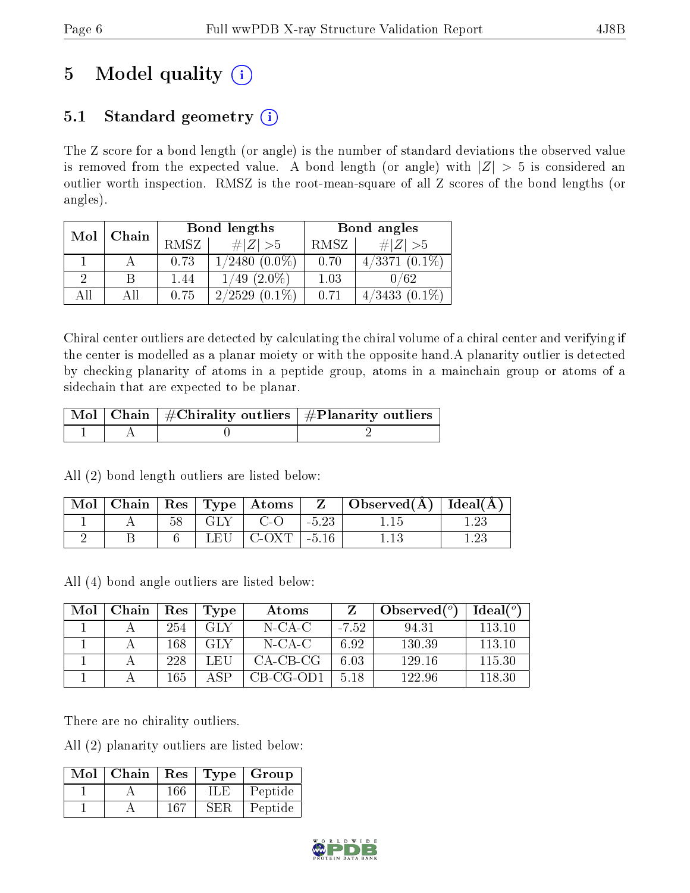# 5 Model quality  $(i)$

# 5.1 Standard geometry  $(i)$

The Z score for a bond length (or angle) is the number of standard deviations the observed value is removed from the expected value. A bond length (or angle) with  $|Z| > 5$  is considered an outlier worth inspection. RMSZ is the root-mean-square of all Z scores of the bond lengths (or angles).

| Mol      | Chain |      | Bond lengths        | Bond angles |                     |  |
|----------|-------|------|---------------------|-------------|---------------------|--|
|          |       | RMSZ | $\# Z  > 5$         | RMSZ        | # $ Z  > 5$         |  |
|          |       | 0.73 | $(0.0\%)$<br>1/2480 | 0.70        | $4/3371(0.1\%)$     |  |
| $\Omega$ |       | 1.44 | $(2.0\%)$<br>1/49   | 1.03        | 0/62                |  |
| ΑH       |       | 0.75 | 2/2529<br>$(0.1\%)$ | 0.71        | $(0.1\%)$<br>4/3433 |  |

Chiral center outliers are detected by calculating the chiral volume of a chiral center and verifying if the center is modelled as a planar moiety or with the opposite hand.A planarity outlier is detected by checking planarity of atoms in a peptide group, atoms in a mainchain group or atoms of a sidechain that are expected to be planar.

|  | $\lceil \text{Mol} \rceil$ Chain $\mid \#\text{Chirality outliers} \mid \#\text{Planarity outliers} \mid$ |
|--|-----------------------------------------------------------------------------------------------------------|
|  |                                                                                                           |

All (2) bond length outliers are listed below:

| Mol |  |        | $\parallel$ Chain   Res   Type   Atoms $\parallel$ |         | $\mid$ Observed( $\AA$ ) $\mid$ Ideal( $\AA$ ) |  |
|-----|--|--------|----------------------------------------------------|---------|------------------------------------------------|--|
|     |  |        | $C$ -O                                             | $-5.23$ |                                                |  |
|     |  | L EI I | -C-OXT                                             | $-5.16$ |                                                |  |

All (4) bond angle outliers are listed below:

| Mol | Chain | Res | Type        | Atoms      |         | Observed $(°)$ | Ideal $(°)$ |
|-----|-------|-----|-------------|------------|---------|----------------|-------------|
|     |       | 254 | GLY         | $N$ -CA-C  | $-7.52$ | 94.31          | 113.10      |
|     |       | 168 | GLY         | N-CA-C     | 6.92    | 130.39         | 113.10      |
|     |       | 228 | L EH        | $CA-CB-CG$ | 6.03    | 129.16         | 115.30      |
|     |       | 165 | $\Delta$ SP | CB-CG-OD1  | 5.18    | 122.96         | 118.30      |

There are no chirality outliers.

All (2) planarity outliers are listed below:

| Mol | Chain | Res | Type   | $\vert$ Group |
|-----|-------|-----|--------|---------------|
|     |       | 166 |        | Peptide       |
|     |       | 167 | 5 H. R | Peptide       |

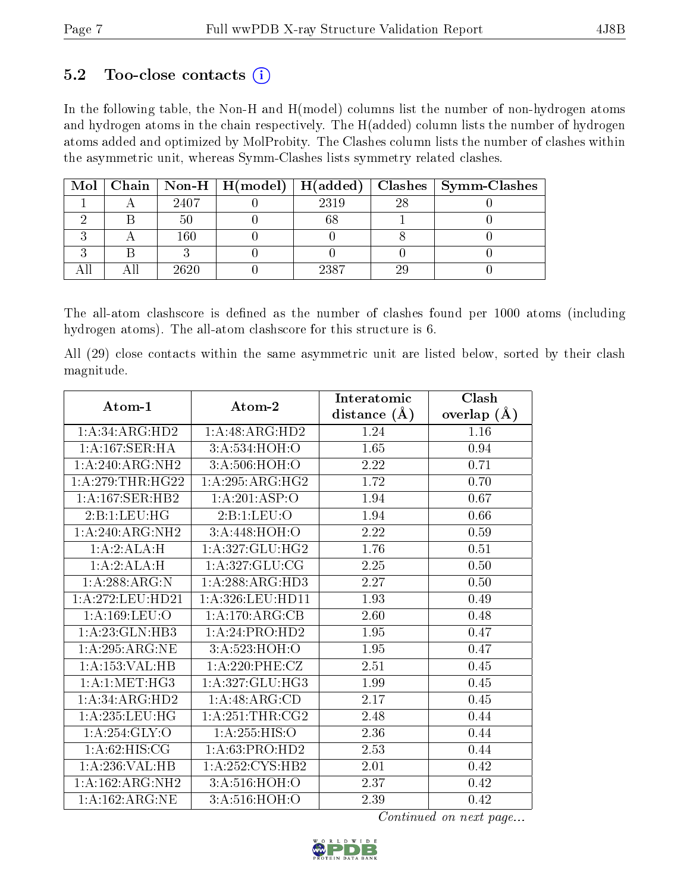### 5.2 Too-close contacts  $(i)$

In the following table, the Non-H and H(model) columns list the number of non-hydrogen atoms and hydrogen atoms in the chain respectively. The H(added) column lists the number of hydrogen atoms added and optimized by MolProbity. The Clashes column lists the number of clashes within the asymmetric unit, whereas Symm-Clashes lists symmetry related clashes.

|  |         |      |     | Mol   Chain   Non-H   H(model)   H(added)   Clashes   Symm-Clashes |
|--|---------|------|-----|--------------------------------------------------------------------|
|  | 2407    | 2319 | -98 |                                                                    |
|  |         |      |     |                                                                    |
|  | $160\,$ |      |     |                                                                    |
|  |         |      |     |                                                                    |
|  | 2620    | 2387 |     |                                                                    |

The all-atom clashscore is defined as the number of clashes found per 1000 atoms (including hydrogen atoms). The all-atom clashscore for this structure is 6.

All (29) close contacts within the same asymmetric unit are listed below, sorted by their clash magnitude.

| Atom-1             | Atom-2            | Interatomic    | Clash         |
|--------------------|-------------------|----------------|---------------|
|                    |                   | distance $(A)$ | overlap $(A)$ |
| 1: A:34: ARG:HD2   | 1:A:48:ARG:HD2    | 1.24           | 1.16          |
| 1:A:167:SER:HA     | 3: A:534: HOH:O   | 1.65           | 0.94          |
| 1:A:240:ARG:NH2    | 3:A:506:HOH:O     | 2.22           | 0.71          |
| 1: A:279:THR:HG22  | 1: A:295: ARG:HG2 | 1.72           | 0.70          |
| 1: A:167: SER: HB2 | 1:A:201:ASP:O     | 1.94           | 0.67          |
| 2:Bi:LEU:HG        | 2:B:1:LEU:O       | 1.94           | 0.66          |
| 1:A:240:ARG:NH2    | 3:A:448:HOH:O     | 2.22           | 0.59          |
| 1:A:2:ALA:H        | 1:A:327:GLU:HG2   | 1.76           | 0.51          |
| 1:A:2:ALA:H        | 1:A:327:GLU:CG    | 2.25           | 0.50          |
| 1:A:288:ARG:N      | 1:A:288:ARG:HD3   | 2.27           | 0.50          |
| 1: A:272:LEU:HD21  | 1: A:326:LEU:HD11 | 1.93           | 0.49          |
| 1:A:169:LEU:O      | 1:A:170:ARG:CB    | 2.60           | 0.48          |
| 1:A:23:GLN:HB3     | 1:A:24:PRO:HD2    | 1.95           | 0.47          |
| 1: A:295:ARG:NE    | 3:A:523:HOH:O     | 1.95           | 0.47          |
| 1:A:153:VAL:H B    | 1: A:220: PHE: CZ | 2.51           | 0.45          |
| 1: A:1: MET:HG3    | 1:A:327:GLU:HG3   | 1.99           | 0.45          |
| 1:A:34:ARG:HD2     | 1:A:48:ARG:CD     | 2.17           | 0.45          |
| 1: A: 235: LEU: HG | 1:A:251:THR:CG2   | 2.48           | 0.44          |
| 1:A:254:GLY:O      | 1: A: 255: HIS: O | 2.36           | 0.44          |
| 1: A:62: HIS: CG   | 1: A:63: PRO:HD2  | 2.53           | 0.44          |
| 1:A:236:VAL:HB     | 1: A:252: CYS:HB2 | 2.01           | 0.42          |
| 1:A:162:ARG:NH2    | 3: A:516: HOH:O   | 2.37           | 0.42          |
| 1: A:162:ARG:NE    | 3: A:516:HOH:O    | 2.39           | 0.42          |

Continued on next page...

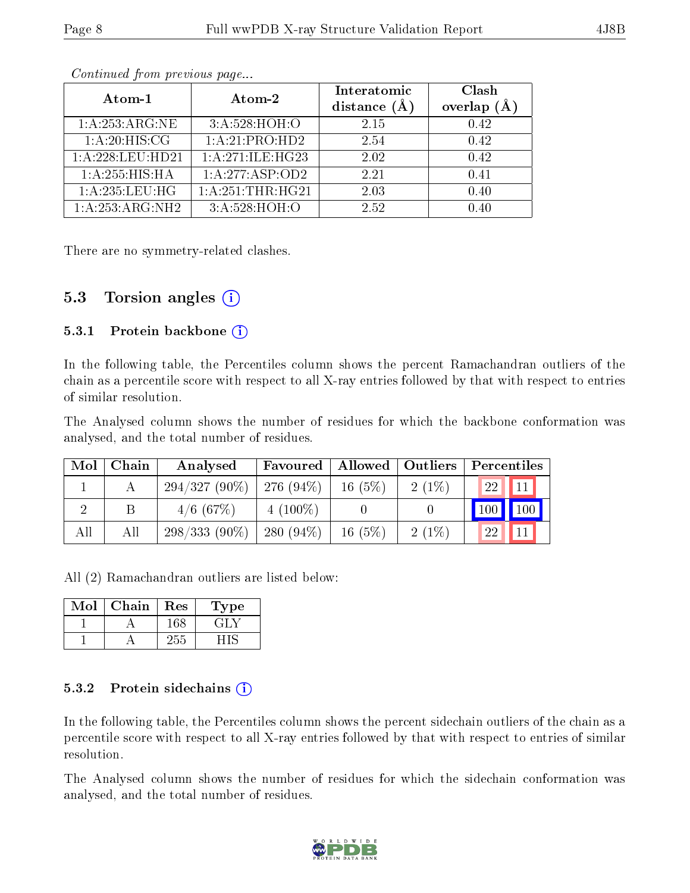|--|

| Atom-1            | Atom-2           | Interatomic<br>distance $(A)$ | Clash<br>overlap<br>(A) |
|-------------------|------------------|-------------------------------|-------------------------|
| 1: A:253:ARG:NE   | 3:A:528:HOH:O    | 2.15                          | 0.42                    |
| 1: A:20: HIS: CG  | 1:A:21:PRO:HD2   | 2.54                          | 0.42                    |
| 1: A:228:LEU:HD21 | 1:A:271:ILE:HG23 | 2.02                          | 0.42                    |
| 1:A:255:HIS:HA    | 1: A:277:ABP:OD2 | 2.21                          | 0.41                    |
| 1:A:235:LEU:HG    | 1:A:251:THR:HG21 | 2.03                          | 0.40                    |
| 1:A:253:ARG:NH2   | 3: A:528: HOH: O | 2.52                          | በ 4በ                    |

Continued from previous page...

There are no symmetry-related clashes.

### 5.3 Torsion angles  $(i)$

#### 5.3.1 Protein backbone  $(i)$

In the following table, the Percentiles column shows the percent Ramachandran outliers of the chain as a percentile score with respect to all X-ray entries followed by that with respect to entries of similar resolution.

The Analysed column shows the number of residues for which the backbone conformation was analysed, and the total number of residues.

| Mol | Chain | Analysed                     | Favoured     | Allowed   Outliers |          | Percentiles     |
|-----|-------|------------------------------|--------------|--------------------|----------|-----------------|
|     |       | $294/327(90\%)$   276 (94\%) |              | 16(5%)             | $2(1\%)$ | <b>22</b><br>11 |
|     |       | $4/6$ (67\%)                 | $4(100\%)$   |                    |          | 100<br>100      |
| All | All   | $298/333(90\%)$              | 280 $(94\%)$ | 16(5%)             | $2(1\%)$ | 11<br>22        |

All (2) Ramachandran outliers are listed below:

| Mol | Chain | Res | Type |
|-----|-------|-----|------|
|     |       | -68 |      |
|     |       | 255 |      |

#### 5.3.2 Protein sidechains  $\left( \widehat{\mathbf{i}} \right)$

In the following table, the Percentiles column shows the percent sidechain outliers of the chain as a percentile score with respect to all X-ray entries followed by that with respect to entries of similar resolution.

The Analysed column shows the number of residues for which the sidechain conformation was analysed, and the total number of residues.

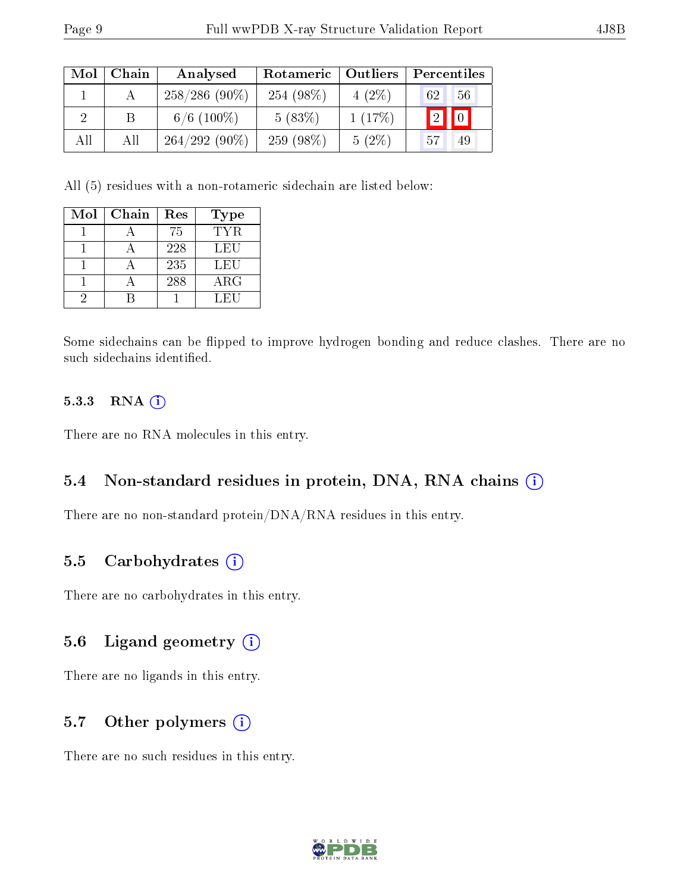| Mol | Chain | Analysed        | Rotameric   | $\blacksquare$ Outliers | Percentiles       |
|-----|-------|-----------------|-------------|-------------------------|-------------------|
|     |       | $258/286(90\%)$ | 254 (98\%)  | $4(2\%)$                | 62<br>56          |
|     |       | $6/6$ (100\%)   | 5(83%)      | 1(17%)                  | $\boxed{0}$<br> 2 |
| All | Αll   | $264/292(90\%)$ | $259(98\%)$ | $5(2\%)$                | .57<br>49         |

All (5) residues with a non-rotameric sidechain are listed below:

| Mol | Chain | Res | Type       |
|-----|-------|-----|------------|
|     |       | 75  | TYR.       |
|     |       | 228 | LEU        |
|     |       | 235 | LEU        |
|     |       | 288 | $\rm{ARG}$ |
|     |       |     | LEU        |

Some sidechains can be flipped to improve hydrogen bonding and reduce clashes. There are no such sidechains identified.

#### 5.3.3 RNA [O](https://www.wwpdb.org/validation/2017/XrayValidationReportHelp#rna)i

There are no RNA molecules in this entry.

#### 5.4 Non-standard residues in protein, DNA, RNA chains (i)

There are no non-standard protein/DNA/RNA residues in this entry.

### 5.5 Carbohydrates (i)

There are no carbohydrates in this entry.

### 5.6 Ligand geometry (i)

There are no ligands in this entry.

### 5.7 [O](https://www.wwpdb.org/validation/2017/XrayValidationReportHelp#nonstandard_residues_and_ligands)ther polymers (i)

There are no such residues in this entry.

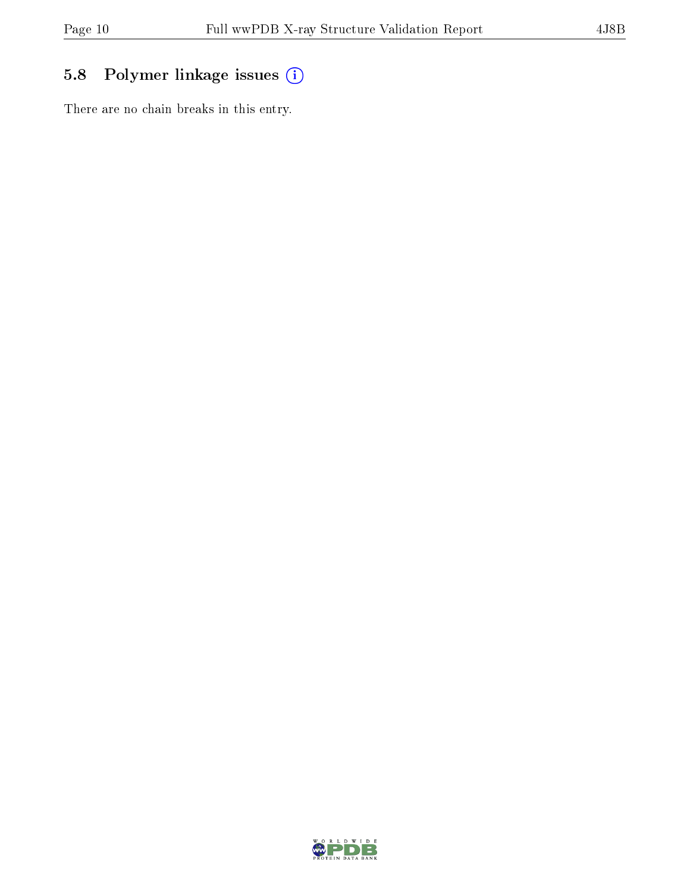# 5.8 Polymer linkage issues (i)

There are no chain breaks in this entry.